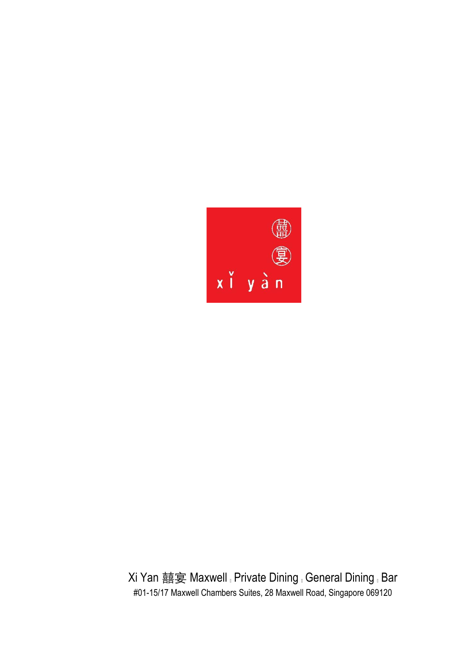

Xi Yan 囍宴 Maxwell Private Dining General Dining Bar #01-15/17 Maxwell Chambers Suites, 28 Maxwell Road, Singapore 069120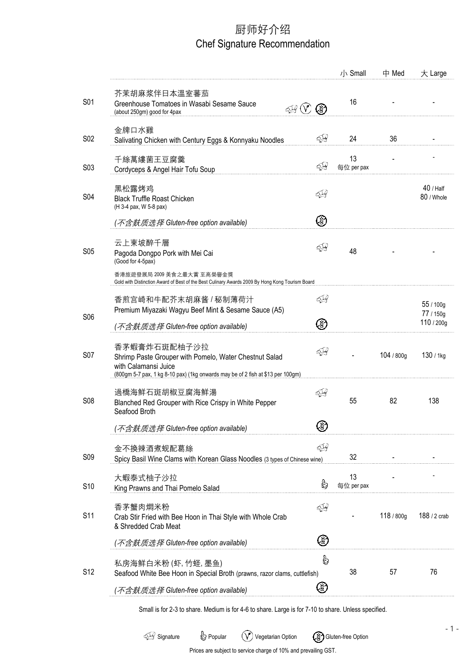# 厨师好介绍 Chef Signature Recommendation

|                  |                                                                                                                                                                                   |       | 小 Small          | 中 Med      | 大 Large                  |
|------------------|-----------------------------------------------------------------------------------------------------------------------------------------------------------------------------------|-------|------------------|------------|--------------------------|
| S01              | 芥茉胡麻浆伴日本温室蕃茄<br>Greenhouse Tomatoes in Wasabi Sesame Sauce<br>(about 250qm) good for 4pax                                                                                         | (3)   | 16               |            |                          |
| S02              | 金牌口水雞<br>Salivating Chicken with Century Eggs & Konnyaku Noodles                                                                                                                  | ব্∯   | 24               | 36         |                          |
| S <sub>0</sub> 3 | 千絲萬縷菌王豆腐羹<br>Cordyceps & Angel Hair Tofu Soup                                                                                                                                     | ব্দু  | 13<br>每位 per pax |            |                          |
| S04              | 黑松露烤鸡<br><b>Black Truffle Roast Chicken</b><br>(H 3-4 pax, W 5-8 pax)                                                                                                             | ব্দ্র |                  |            | $40/$ Half<br>80 / Whole |
|                  | ( <i>不含麸质选择</i> Gluten-free option available)                                                                                                                                     | ⊗     |                  |            |                          |
| <b>S05</b>       | 云上東坡醉千層<br>Pagoda Dongpo Pork with Mei Cai<br>(Good for 4-5pax)                                                                                                                   | 54    | 48               |            |                          |
|                  | 香港旅遊發展局 2009 美食之最大賞 至高榮譽金獎<br>Gold with Distinction Award of Best of the Best Culinary Awards 2009 By Hong Kong Tourism Board                                                     |       |                  |            |                          |
|                  | 香煎宫崎和牛配芥末胡麻酱 / 秘制薄荷汁<br>Premium Miyazaki Wagyu Beef Mint & Sesame Sauce (A5)                                                                                                      | 54    |                  |            | 55 / 100g<br>77 / 150g   |
| S06              | (不含麸质选择 Gluten-free option available)                                                                                                                                             | ⊗     |                  |            | 110 / 200g               |
| <b>S07</b>       | 香茅蝦膏炸石斑配柚子沙拉<br>Shrimp Paste Grouper with Pomelo, Water Chestnut Salad<br>with Calamansi Juice<br>(800gm 5-7 pax, 1 kg 8-10 pax) (1kg onwards may be of 2 fish at \$13 per 100gm) | বৃশ্র |                  | 104 / 800g | 130 / 1kg                |
| <b>S08</b>       | 過橋海鲜石斑胡椒豆腐海鲜湯<br>Blanched Red Grouper with Rice Crispy in White Pepper<br>Seafood Broth                                                                                           | ≤∯    | 55               | 82         | 138                      |
|                  | ( <i>不含麸质选择</i> Gluten-free option available)                                                                                                                                     | ⊛     |                  |            |                          |
| S <sub>09</sub>  | 金不換辣酒煮蚬配葛絲<br>Spicy Basil Wine Clams with Korean Glass Noodles (3 types of Chinese wine)                                                                                          | বূ∯   | 32               |            |                          |
| S10              | 大蝦泰式柚子沙拉<br>King Prawns and Thai Pomelo Salad                                                                                                                                     | G     | 13<br>每位 per pax |            |                          |
| S11              | 香茅蟹肉燜米粉<br>Crab Stir Fried with Bee Hoon in Thai Style with Whole Crab<br>& Shredded Crab Meat                                                                                    | ୍ୟୁ   |                  | 118 / 800g | 188 / 2 crab             |
|                  | ( <i>不含麸质选择</i> Gluten-free option available)                                                                                                                                     | ⊗     |                  |            |                          |
| S <sub>12</sub>  | 私房海鲜白米粉 (虾, 竹蛏, 墨鱼)<br>Seafood White Bee Hoon in Special Broth (prawns, razor clams, cuttlefish)                                                                                  | b     | 38               | 57         | 76                       |
|                  | ( <i>不含麸质选择</i> Gluten-free option available)                                                                                                                                     | Š)    |                  |            |                          |
|                  |                                                                                                                                                                                   |       |                  |            |                          |

Small is for 2-3 to share. Medium is for 4-6 to share. Large is for 7-10 to share. Unless specified.

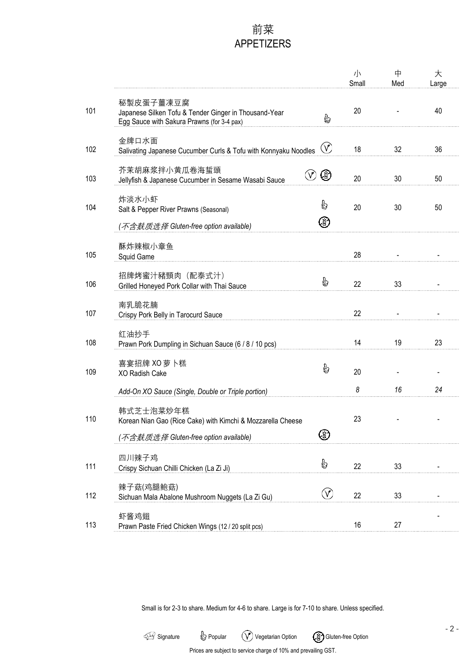## 前菜 APPETIZERS

|     |                                                                                                                  |             | 小<br>Small | 中<br>Med | 大<br>Large |
|-----|------------------------------------------------------------------------------------------------------------------|-------------|------------|----------|------------|
| 101 | 秘製皮蛋子薑凍豆腐<br>Japanese Silken Tofu & Tender Ginger in Thousand-Year<br>Egg Sauce with Sakura Prawns (for 3-4 pax) | b           | 20         |          | 40         |
| 102 | 金牌口水面<br>Salivating Japanese Cucumber Curls & Tofu with Konnyaku Noodles                                         | $\circledv$ | 18         | 32       | 36         |
| 103 | 芥茉胡麻浆拌小黄瓜卷海蜇頭<br>Jellyfish & Japanese Cucumber in Sesame Wasabi Sauce                                            | ⊗           | 20         | 30       | 50         |
| 104 | 炸淡水小虾<br>Salt & Pepper River Prawns (Seasonal)                                                                   | G<br>⊛      | 20         | 30       | 50         |
| 105 | ( <i>不含麸质选择</i> Gluten-free option available)<br>酥炸辣椒小章鱼<br>Squid Game                                           |             | 28         |          |            |
| 106 | 招牌烤蜜汁豬頸肉 (配泰式汁)<br>Grilled Honeyed Pork Collar with Thai Sauce                                                   | Ò           | 22         | 33       |            |
| 107 | 南乳脆花腩<br>Crispy Pork Belly in Tarocurd Sauce                                                                     |             | 22         |          |            |
| 108 | 红油抄手<br>Prawn Pork Dumpling in Sichuan Sauce (6 / 8 / 10 pcs)                                                    |             | 14         | 19       | 23         |
| 109 | 喜宴招牌 XO 萝卜糕<br>XO Radish Cake                                                                                    | ę           | 20         |          |            |
|     | Add-On XO Sauce (Single, Double or Triple portion)                                                               |             | 8          | 16       | 24         |
| 110 | 韩式芝士泡菜炒年糕<br>Korean Nian Gao (Rice Cake) with Kimchi & Mozzarella Cheese<br>不含麸质选择 Gluten-free option available) | ⊛           | 23         |          |            |
| 111 | 四川辣子鸡<br>Crispy Sichuan Chilli Chicken (La Zi Ji)                                                                | €           | 22         | 33       |            |
| 112 | 辣子菇(鸡腿鲍菇)<br>Sichuan Mala Abalone Mushroom Nuggets (La Zi Gu)                                                    | V           | 22         | 33       |            |
| 113 | 虾酱鸡翅<br>Prawn Paste Fried Chicken Wings (12 / 20 split pcs)                                                      |             | 16         | 27       |            |

Small is for 2-3 to share. Medium for 4-6 to share. Large is for 7-10 to share. Unless specified.



- 2 -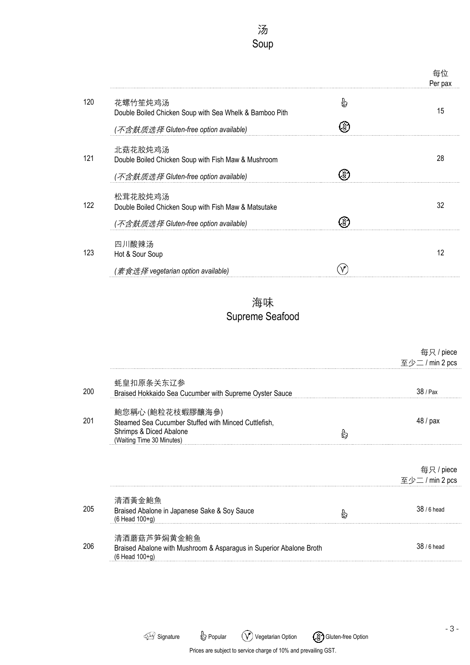汤 Soup

|     |                                                                                                          |   | 每位<br>Per pax |
|-----|----------------------------------------------------------------------------------------------------------|---|---------------|
| 120 | 花螺竹笙炖鸡汤<br>Double Boiled Chicken Soup with Sea Whelk & Bamboo Pith                                       | b | 15            |
|     | (不含麸质选择 Gluten-free option available)                                                                    |   |               |
| 121 | 北菇花胶炖鸡汤<br>Double Boiled Chicken Soup with Fish Maw & Mushroom<br>(不含麸质选择 Gluten-free option available)  |   | 28            |
| 122 | 松茸花胶炖鸡汤<br>Double Boiled Chicken Soup with Fish Maw & Matsutake<br>(不含麸质选择 Gluten-free option available) |   | 32            |
| 123 | 四川酸辣汤<br>Hot & Sour Soup                                                                                 |   | 12            |
|     | (素食选择 vegetarian option available)                                                                       |   |               |

海味 Supreme Seafood

|     |                                                                                                                                  |   | 每只/piece<br>至少二 / min 2 pcs |
|-----|----------------------------------------------------------------------------------------------------------------------------------|---|-----------------------------|
| 200 | 蚝皇扣原条关东辽参<br>Braised Hokkaido Sea Cucumber with Supreme Oyster Sauce                                                             |   | 38 / Pax                    |
|     |                                                                                                                                  |   |                             |
| 201 | 鮑您稱心 (鮑粒花枝蝦膠釀海參)<br>Steamed Sea Cucumber Stuffed with Minced Cuttlefish,<br>Shrimps & Diced Abalone<br>(Waiting Time 30 Minutes) | b | 48 / pax                    |
|     |                                                                                                                                  |   | 每只/piece<br>至少二 / min 2 pcs |
|     | 清酒黃金鮑魚                                                                                                                           |   |                             |
| 205 | Braised Abalone in Japanese Sake & Soy Sauce<br>(6 Head 100+g)                                                                   | b | 38 / 6 head                 |
|     | 清酒蘑菇芦笋焖黄金鲍鱼                                                                                                                      |   |                             |
| 206 | Braised Abalone with Mushroom & Asparagus in Superior Abalone Broth<br>(6 Head 100+g)                                            |   | 38 / 6 head                 |

Signature  $\bigcirc$  Popular  $\bigcirc$  Vegetarian Option  $\bigcirc$  Gluten-free Option Prices are subject to service charge of 10% and prevailing GST.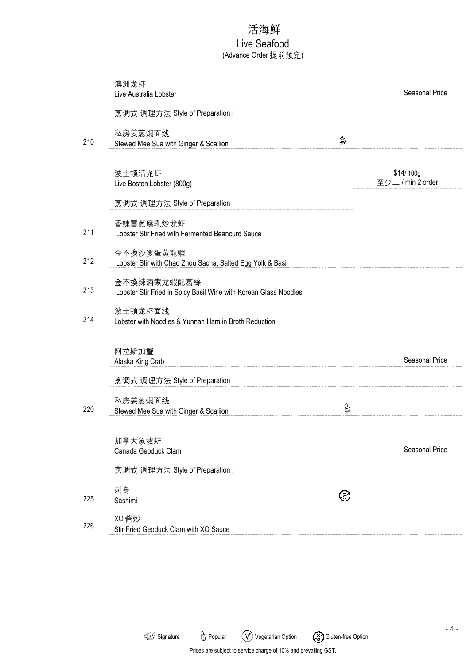## 活海鲜

#### Live Seafood (Advance Order 提前预定)

|     | 澳洲龙虾<br>Live Australia Lobster                                                  |   | Seasonal Price                 |
|-----|---------------------------------------------------------------------------------|---|--------------------------------|
|     | 烹调式 调理方法 Style of Preparation:                                                  |   |                                |
| 210 | 私房姜葱焖面线<br>Stewed Mee Sua with Ginger & Scallion                                | ₿ |                                |
|     | 波士顿活龙虾<br>Live Boston Lobster (800g)                                            |   | \$14/100g<br>至少二 / min 2 order |
|     | 烹调式 调理方法 Style of Preparation:                                                  |   |                                |
| 211 | 香辣薑蔥腐乳炒龙虾<br>Lobster Stir Fried with Fermented Beancurd Sauce                   |   |                                |
| 212 | 金不換沙爹蛋黃龍蝦<br>Lobster Stir with Chao Zhou Sacha, Salted Egg Yolk & Basil         |   |                                |
| 213 | 金不換辣酒煮龙蝦配葛絲<br>Lobster Stir Fried in Spicy Basil Wine with Korean Glass Noodles |   |                                |
| 214 | 波士顿龙虾面线<br>Lobster with Noodles & Yunnan Ham in Broth Reduction                 |   |                                |
|     | 阿拉斯加蟹<br>Alaska King Crab                                                       |   | Seasonal Price                 |
|     | 烹调式 调理方法 Style of Preparation:                                                  |   |                                |
| 220 | 私房姜葱焖面线<br>Stewed Mee Sua with Ginger & Scallion                                | G |                                |
|     | 加拿大象拔蚌<br>Canada Geoduck Clam                                                   |   | Seasonal Price                 |
|     | 烹调式 调理方法 Style of Preparation:                                                  |   |                                |
| 225 | 刺身<br>Sashimi                                                                   |   |                                |
| 226 | XO 酱炒<br>Stir Fried Geoduck Clam with XO Sauce                                  |   |                                |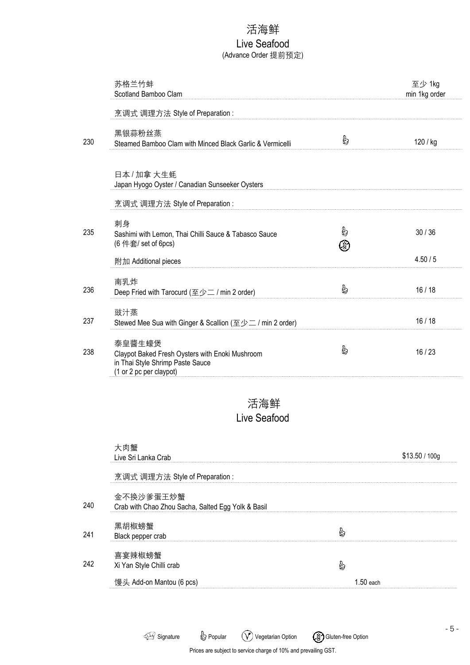#### 活海鲜

#### Live Seafood (Advance Order 提前预定)

|     | 苏格兰竹蚌<br>Scotland Bamboo Clam                                                                                            |         | 至少 1kg<br>min 1kg order |
|-----|--------------------------------------------------------------------------------------------------------------------------|---------|-------------------------|
|     | 烹调式 调理方法 Style of Preparation:                                                                                           |         |                         |
| 230 | 黑银蒜粉丝蒸<br>Steamed Bamboo Clam with Minced Black Garlic & Vermicelli                                                      | B       | 120 / kg                |
|     | 日本 / 加拿 大生蚝<br>Japan Hyogo Oyster / Canadian Sunseeker Oysters                                                           |         |                         |
|     | 烹调式 调理方法 Style of Preparation:                                                                                           |         |                         |
| 235 | 刺身<br>Sashimi with Lemon, Thai Chilli Sauce & Tabasco Sauce<br>(6 件套/ set of 6pcs)                                       | ė<br>E, | 30/36                   |
|     | 附加 Additional pieces                                                                                                     |         | 4.50/5                  |
| 236 | 南乳炸<br>Deep Fried with Tarocurd (至少二 / min 2 order)                                                                      | b       | 16/18                   |
| 237 | 豉汁蒸<br>Stewed Mee Sua with Ginger & Scallion (至少二 / min 2 order)                                                         |         | 16/18                   |
| 238 | 泰皇醬生蠔煲<br>Claypot Baked Fresh Oysters with Enoki Mushroom<br>in Thai Style Shrimp Paste Sauce<br>(1 or 2 pc per claypot) | B       | 16/23                   |
|     | 活海鲜<br>Live Seafood                                                                                                      |         |                         |

大肉蟹 Live Sri Lanka Crab \$13.50 / 100g 烹调式 调理方法 Style of Preparation : 金不换沙爹蛋王炒蟹 240 Crab with Chao Zhou Sacha, Salted Egg Yolk & Basil 黑胡椒螃蟹 b 241 Black pepper crab 喜宴辣椒螃蟹 242  $\mathbb{S}$ Xi Yan Style Chilli crab 馒头 Add-on Mantou (6 pcs) and the control of the control of the control of the control of the control of the control of the control of the control of the control of the control of the control of the control of the control

Signature  $\bigcirc$  Popular  $\bigcirc$  Vegetarian Option  $\bigcirc$  Gluten-free Option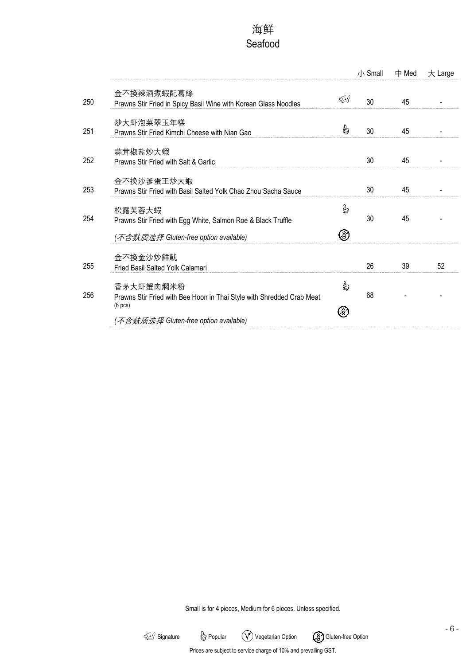# 海鲜 Seafood

|     |                                                                                               |   | 小 Small | 中 Med | 大 Large |
|-----|-----------------------------------------------------------------------------------------------|---|---------|-------|---------|
| 250 | 金不換辣酒煮蝦配葛絲<br>Prawns Stir Fried in Spicy Basil Wine with Korean Glass Noodles                 |   | 30      | 45    |         |
| 251 | 炒大虾泡菜翠玉年糕<br>Prawns Stir Fried Kimchi Cheese with Nian Gao                                    | G | 30      | 45    |         |
| 252 | 蒜茸椒盐炒大蝦<br>Prawns Stir Fried with Salt & Garlic                                               |   | 30      | 45    |         |
| 253 | 金不换沙爹蛋王炒大蝦<br>Prawns Stir Fried with Basil Salted Yolk Chao Zhou Sacha Sauce                  |   | 30      | 45    |         |
| 254 | 松露芙蓉大蝦<br>Prawns Stir Fried with Egg White, Salmon Roe & Black Truffle                        | G | 30      | 45    |         |
|     | ( <i>不含麸质选择</i> Gluten-free option available)                                                 | 3 |         |       |         |
| 255 | 金不換金沙炒鮮魷<br>Fried Basil Salted Yolk Calamari                                                  |   | 26      | 39    | 52      |
| 256 | 香茅大虾蟹肉燜米粉<br>Prawns Stir Fried with Bee Hoon in Thai Style with Shredded Crab Meat<br>(6 pcs) | G | 68      |       |         |
|     | ( <i>不含麸质选择</i> Gluten-free option available)                                                 |   |         |       |         |

Small is for 4 pieces, Medium for 6 pieces. Unless specified.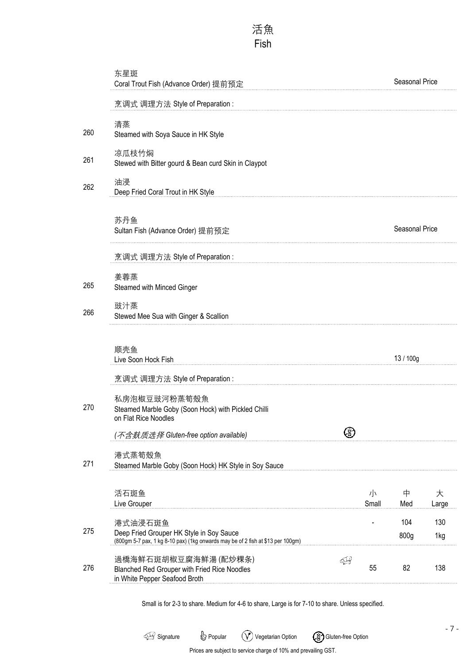### 活魚 Fish

|     | 东星斑<br>Coral Trout Fish (Advance Order) 提前预定                                                                                           |      |            | Seasonal Price |            |
|-----|----------------------------------------------------------------------------------------------------------------------------------------|------|------------|----------------|------------|
|     | 烹调式 调理方法 Style of Preparation:                                                                                                         |      |            |                |            |
| 260 | 清蒸<br>Steamed with Soya Sauce in HK Style                                                                                              |      |            |                |            |
| 261 | 凉瓜枝竹焖<br>Stewed with Bitter gourd & Bean curd Skin in Claypot                                                                          |      |            |                |            |
| 262 | 油浸<br>Deep Fried Coral Trout in HK Style                                                                                               |      |            |                |            |
|     | 苏丹鱼<br>Sultan Fish (Advance Order) 提前预定                                                                                                |      |            | Seasonal Price |            |
|     | 烹调式 调理方法 Style of Preparation:                                                                                                         |      |            |                |            |
| 265 | 姜蓉蒸<br>Steamed with Minced Ginger                                                                                                      |      |            |                |            |
| 266 | 豉汁蒸<br>Stewed Mee Sua with Ginger & Scallion                                                                                           |      |            |                |            |
|     | 顺壳鱼<br>Live Soon Hock Fish                                                                                                             |      |            | 13 / 100g      |            |
|     | 烹调式 调理方法 Style of Preparation:                                                                                                         |      |            |                |            |
| 270 | 私房泡椒豆豉河粉蒸筍殼魚<br>Steamed Marble Goby (Soon Hock) with Pickled Chilli<br>on Flat Rice Noodles                                            |      |            |                |            |
|     | (不含麸质选择 Gluten-free option available)                                                                                                  |      |            |                |            |
| 271 | 港式蒸筍殼魚<br>Steamed Marble Goby (Soon Hock) HK Style in Soy Sauce                                                                        |      |            |                |            |
|     | 活石斑鱼<br>Live Grouper                                                                                                                   |      | 小<br>Small | 中<br>Med       | 大<br>Large |
| 275 | 港式油浸石斑鱼<br>Deep Fried Grouper HK Style in Soy Sauce<br>(800gm 5-7 pax, 1 kg 8-10 pax) (1kg onwards may be of 2 fish at \$13 per 100gm) |      |            | 104<br>800g    | 130<br>1kg |
| 276 | 過橋海鲜石斑胡椒豆腐海鲜湯(配炒粿条)<br>Blanched Red Grouper with Fried Rice Noodles<br>in White Pepper Seafood Broth                                   | ব্দু | 55         | 82             | 138        |

Small is for 2-3 to share. Medium for 4-6 to share, Large is for 7-10 to share. Unless specified.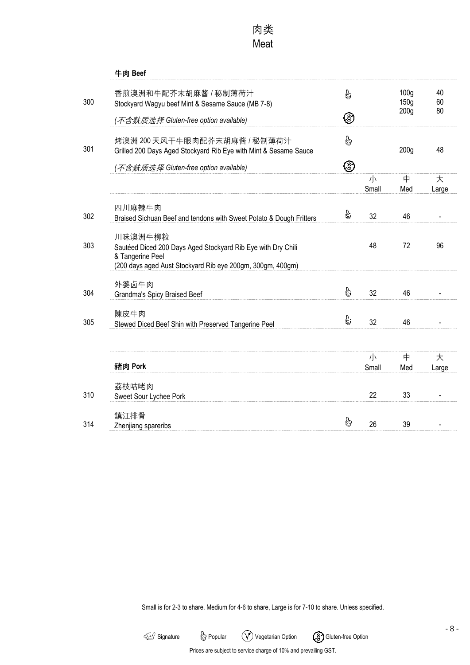|     | 牛肉 Beef                                                                                                                                                   |    |                               |                                              |                |
|-----|-----------------------------------------------------------------------------------------------------------------------------------------------------------|----|-------------------------------|----------------------------------------------|----------------|
| 300 | 香煎澳洲和牛配芥末胡麻酱 / 秘制薄荷汁<br>Stockyard Wagyu beef Mint & Sesame Sauce (MB 7-8)                                                                                 | မြ |                               | 100 <sub>q</sub><br>150g<br>200 <sub>g</sub> | 40<br>60<br>80 |
|     | ( <i>不含麸质选择</i> Gluten-free option available)                                                                                                             | ⊛  |                               |                                              |                |
| 301 | 烤澳洲 200天风干牛眼肉配芥末胡麻酱 / 秘制薄荷汁<br>Grilled 200 Days Aged Stockyard Rib Eye with Mint & Sesame Sauce                                                           | è  |                               | 200 <sub>g</sub>                             | 48             |
|     | (不含麸质选择 Gluten-free option available)                                                                                                                     | ⊛  |                               |                                              |                |
|     |                                                                                                                                                           |    | $\frac{1}{\sqrt{2}}$<br>Small | 中<br>Med                                     | 大<br>Large     |
| 302 | 四川麻辣牛肉<br>Braised Sichuan Beef and tendons with Sweet Potato & Dough Fritters                                                                             | ę  | 32                            | 46                                           |                |
| 303 | 川味澳洲牛柳粒<br>Sautéed Diced 200 Days Aged Stockyard Rib Eye with Dry Chili<br>& Tangerine Peel<br>(200 days aged Aust Stockyard Rib eye 200gm, 300gm, 400gm) |    | 48                            | 72                                           | 96             |
| 304 | 外婆卤牛肉<br>Grandma's Spicy Braised Beef                                                                                                                     | မြ | 32                            | 46                                           |                |
| 305 | 陳皮牛肉<br>Stewed Diced Beef Shin with Preserved Tangerine Peel                                                                                              | ę  | 32                            | 46                                           |                |
|     | 豬肉 Pork                                                                                                                                                   |    | $\frac{1}{\sqrt{2}}$<br>Small | 中<br>Med                                     | 大<br>Large     |
| 310 | 荔枝咕咾肉<br>Sweet Sour Lychee Pork                                                                                                                           |    | 22                            | 33                                           |                |
| 314 | 鎮江排骨<br>Zhenjiang spareribs                                                                                                                               | b  | 26                            | 39                                           |                |

Small is for 2-3 to share. Medium for 4-6 to share, Large is for 7-10 to share. Unless specified.

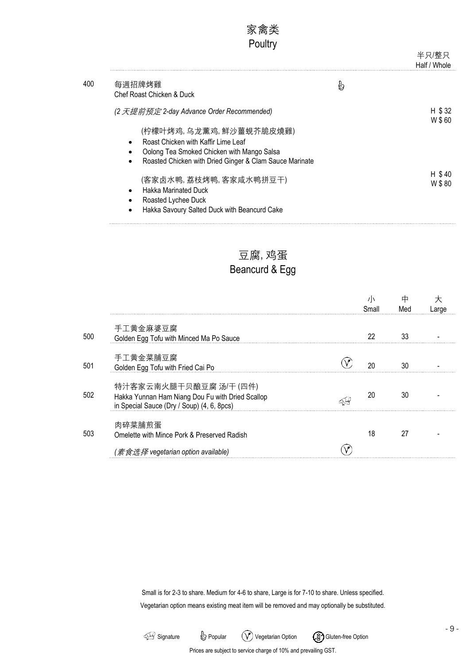|     | 家禽类<br>Poultry                                                                                                                                                                                                                                  |   | 半只/整只<br>Half / Whole |
|-----|-------------------------------------------------------------------------------------------------------------------------------------------------------------------------------------------------------------------------------------------------|---|-----------------------|
| 400 | 每週招牌烤雞<br>Chef Roast Chicken & Duck                                                                                                                                                                                                             | 9 |                       |
|     | (2 天提前预定 2-day Advance Order Recommended)<br>(柠檬叶烤鸡, 乌龙薰鸡, 鮮沙薑蜆芥脆皮燒雞)<br>Roast Chicken with Kaffir Lime Leaf<br>$\bullet$<br>Oolong Tea Smoked Chicken with Mango Salsa<br>Roasted Chicken with Dried Ginger & Clam Sauce Marinate<br>$\bullet$ |   | H \$32<br>W \$60      |
|     | (客家卤水鸭,荔枝烤鸭,客家咸水鸭拼豆干)<br><b>Hakka Marinated Duck</b><br>$\bullet$<br>Roasted Lychee Duck                                                                                                                                                        |   | H \$40<br>W \$80      |

• Hakka Savoury Salted Duck with Beancurd Cake

#### 豆腐, 鸡蛋

# Beancurd & Egg

|     |                                                                                                                         | Small | 中<br>Med | Large |
|-----|-------------------------------------------------------------------------------------------------------------------------|-------|----------|-------|
|     | 手工黄金麻婆豆腐                                                                                                                |       |          |       |
| 500 | Golden Egg Tofu with Minced Ma Po Sauce                                                                                 | 22    | 33       |       |
| 501 | 手工黄金菜脯豆腐<br>Golden Egg Tofu with Fried Cai Po                                                                           | 20    | 30       |       |
| 502 | 特汁客家云南火腿干贝酿豆腐 汤/干(四件)<br>Hakka Yunnan Ham Niang Dou Fu with Dried Scallop<br>in Special Sauce (Dry / Soup) (4, 6, 8pcs) | 20    | 30       |       |
| 503 | 肉碎菜脯煎蛋<br>Omelette with Mince Pork & Preserved Radish                                                                   | 18    | 27       |       |
|     | (素食选择 vegetarian option available)                                                                                      |       |          |       |

Small is for 2-3 to share. Medium for 4-6 to share, Large is for 7-10 to share. Unless specified. Vegetarian option means existing meat item will be removed and may optionally be substituted.

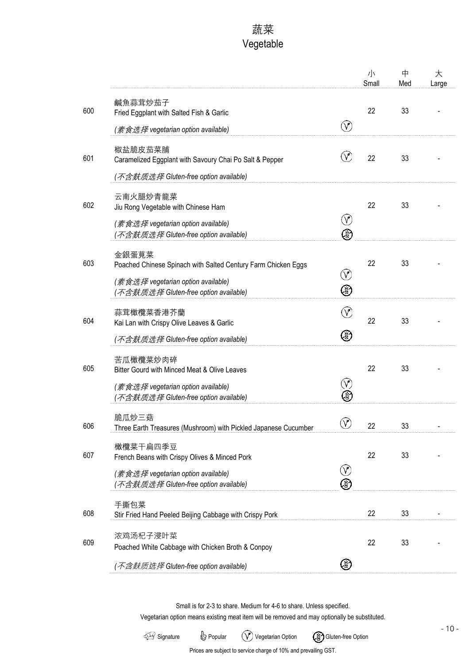# 蔬菜 Vegetable

|     |                                                                                     |                 | 小<br>Small | 中<br>Med | 大<br>Large |
|-----|-------------------------------------------------------------------------------------|-----------------|------------|----------|------------|
| 600 | 鹹魚蒜茸炒茄子<br>Fried Eggplant with Salted Fish & Garlic                                 |                 | 22         | 33       |            |
|     | (素食选择 vegetarian option available)                                                  | $\sqrt{}$       |            |          |            |
| 601 | 椒盐脆皮茄菜脯<br>Caramelized Eggplant with Savoury Chai Po Salt & Pepper                  |                 | 22         | 33       |            |
|     | (不含麸质选择 Gluten-free option available)                                               |                 |            |          |            |
| 602 | 云南火腿炒青龍菜<br>Jiu Rong Vegetable with Chinese Ham                                     |                 | 22         | 33       |            |
|     | (素食选择 vegetarian option available)<br>(不含麸质选择 Gluten-free option available)         | $\sqrt{}$<br>⊗  |            |          |            |
| 603 | 金銀蛋莧菜<br>Poached Chinese Spinach with Salted Century Farm Chicken Eggs              | Ÿ               | 22         | 33       |            |
|     | (素食选择 vegetarian option available)<br>(不含麸质选择 Gluten-free option available)         | ⊗               |            |          |            |
| 604 | 蒜茸橄欖菜香港芥蘭<br>Kai Lan with Crispy Olive Leaves & Garlic                              |                 | 22         | 33       |            |
|     | ( <i>不含麸质选择</i> Gluten-free option available)                                       | ⊗               |            |          |            |
| 605 | 苦瓜橄欖菜炒肉碎<br>Bitter Gourd with Minced Meat & Olive Leaves                            |                 | 22         | 33       |            |
|     | (素食选择 vegetarian option available)<br>( <i>不含麸质选择</i> Gluten-free option available) |                 |            |          |            |
| 606 | 脆瓜炒三菇<br>Three Earth Treasures (Mushroom) with Pickled Japanese Cucumber            | $\bigcirc$      | 22         | 33       |            |
| 607 | 橄欖菜干扁四季豆<br>French Beans with Crispy Olives & Minced Pork                           |                 | 22         | 33       |            |
|     | (素食选择 vegetarian option available)<br>(不含麸质选择 Gluten-free option available)         | $\bigvee$<br>E, |            |          |            |
| 608 | 手撕包菜<br>Stir Fried Hand Peeled Beijing Cabbage with Crispy Pork                     |                 | 22         | 33       |            |
| 609 | 浓鸡汤杞子浸叶菜<br>Poached White Cabbage with Chicken Broth & Conpoy                       |                 | 22         | 33       |            |
|     | (不含麸质选择 Gluten-free option available)                                               | ⊗               |            |          |            |

Small is for 2-3 to share. Medium for 4-6 to share. Unless specified.

Vegetarian option means existing meat item will be removed and may optionally be substituted.

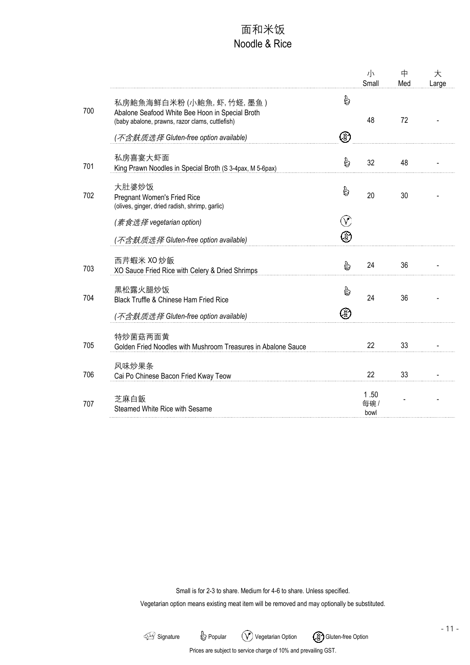### 面和米饭 Noodle & Rice

|     |                                                                                                                                                                       |        | $\frac{1}{\sqrt{2}}$<br>Small | 中<br>Med | 大<br>Large |
|-----|-----------------------------------------------------------------------------------------------------------------------------------------------------------------------|--------|-------------------------------|----------|------------|
| 700 | 私房鮑魚海鲜白米粉(小鮑魚,虾,竹蛏,墨鱼)<br>Abalone Seafood White Bee Hoon in Special Broth<br>(baby abalone, prawns, razor clams, cuttlefish)<br>(不含麸质选择 Gluten-free option available) | b<br>⊗ | 48                            | 72       |            |
| 701 | 私房喜宴大虾面<br>King Prawn Noodles in Special Broth (S 3-4pax, M 5-6pax)                                                                                                   | B      | 32                            | 48       |            |
| 702 | 大肚婆炒饭<br><b>Pregnant Women's Fried Rice</b><br>(olives, ginger, dried radish, shrimp, garlic)                                                                         | b      | 20                            | 30       |            |
|     | (素食选择 vegetarian option)                                                                                                                                              |        |                               |          |            |
|     | (不含麸质选择 Gluten-free option available)                                                                                                                                 | 3      |                               |          |            |
| 703 | 西芹蝦米 XO 炒飯<br>XO Sauce Fried Rice with Celery & Dried Shrimps                                                                                                         | G      | 24                            | 36       |            |
| 704 | 黑松露火腿炒饭<br>Black Truffle & Chinese Ham Fried Rice                                                                                                                     | ò      | 24                            | 36       |            |
|     | ( <i>不含麸质选择</i> Gluten-free option available)                                                                                                                         | 3      |                               |          |            |
| 705 | 特炒菌菇两面黄<br>Golden Fried Noodles with Mushroom Treasures in Abalone Sauce                                                                                              |        | 22                            | 33       |            |
| 706 | 风味炒果条<br>Cai Po Chinese Bacon Fried Kway Teow                                                                                                                         |        | 22                            | 33       |            |
| 707 | 芝麻白飯<br>Steamed White Rice with Sesame                                                                                                                                |        | 1.50<br>每碗/<br>bowl           |          |            |
|     |                                                                                                                                                                       |        |                               |          |            |

Small is for 2-3 to share. Medium for 4-6 to share. Unless specified.

Vegetarian option means existing meat item will be removed and may optionally be substituted.

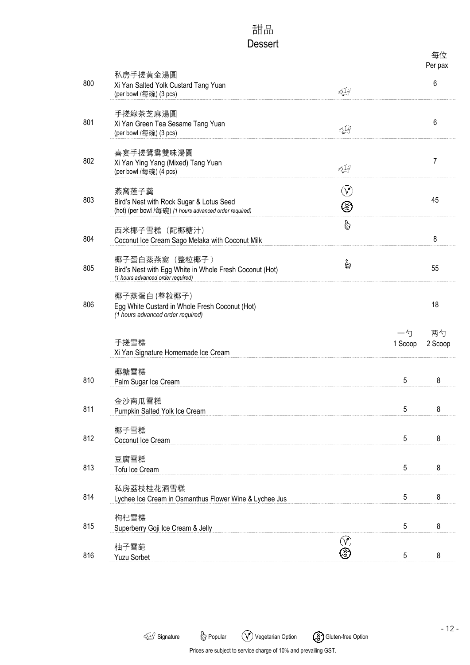## 甜品 Dessert

|     |                                                                                                                |                                 |               | 每位<br>Per pax |
|-----|----------------------------------------------------------------------------------------------------------------|---------------------------------|---------------|---------------|
| 800 | 私房手搓黃金湯圓<br>Xi Yan Salted Yolk Custard Tang Yuan<br>(per bowl /每碗) (3 pcs)                                     | इपु                             |               | 6             |
| 801 | 手搓綠茶芝麻湯圓<br>Xi Yan Green Tea Sesame Tang Yuan<br>(per bowl /每碗) (3 pcs)                                        | ব্∯                             |               | 6             |
| 802 | 喜宴手搓鴛鴦雙味湯圓<br>Xi Yan Ying Yang (Mixed) Tang Yuan<br>(per bowl /每碗) (4 pcs)                                     | 44                              |               | 7             |
| 803 | 燕窩莲子羹<br>Bird's Nest with Rock Sugar & Lotus Seed<br>(hot) (per bowl /每碗) (1 hours advanced order required)    | $\left(\mathcal{V}\right)$<br>⊗ |               | 45            |
| 804 | 西米椰子雪糕 (配椰糖汁)<br>Coconut Ice Cream Sago Melaka with Coconut Milk                                               | b                               |               | 8             |
| 805 | 椰子蛋白蒸燕窩 (整粒椰子)<br>Bird's Nest with Egg White in Whole Fresh Coconut (Hot)<br>(1 hours advanced order required) | G                               |               | 55            |
| 806 | 椰子蒸蛋白(整粒椰子)<br>Egg White Custard in Whole Fresh Coconut (Hot)<br>(1 hours advanced order required)             |                                 |               | 18            |
|     | 手搓雪糕<br>Xi Yan Signature Homemade Ice Cream                                                                    |                                 | 一勺<br>1 Scoop | 两勺<br>2 Scoop |
| 810 | 椰糖雪糕<br>Palm Sugar Ice Cream                                                                                   |                                 | 5             | 8             |
| 811 | 金沙南瓜雪糕<br>Pumpkin Salted Yolk Ice Cream                                                                        |                                 | 5             | 8             |
| 812 | 椰子雪糕<br>Coconut Ice Cream                                                                                      |                                 | 5             | 8             |
| 813 | 豆腐雪糕<br>Tofu Ice Cream                                                                                         |                                 | 5             | 8             |
| 814 | 私房荔枝桂花酒雪糕<br>Lychee Ice Cream in Osmanthus Flower Wine & Lychee Jus                                            |                                 | 5             | 8             |
| 815 | 枸杞雪糕<br>Superberry Goji Ice Cream & Jelly                                                                      |                                 | 5             | 8             |
| 816 | 柚子雪葩<br><b>Yuzu Sorbet</b>                                                                                     | V<br>D                          | 5             | 8             |